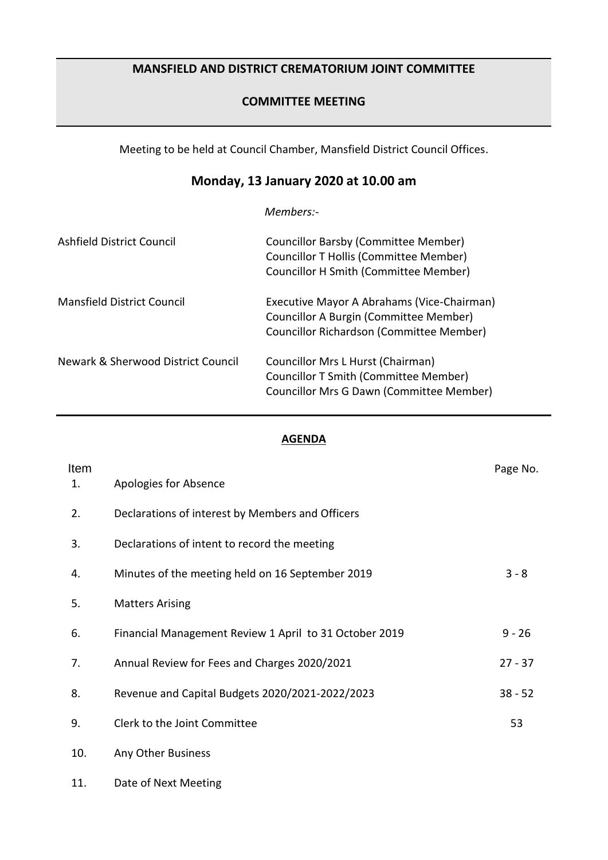## **MANSFIELD AND DISTRICT CREMATORIUM JOINT COMMITTEE**

## **COMMITTEE MEETING**

Meeting to be held at Council Chamber, Mansfield District Council Offices.

# **Monday, 13 January 2020 at 10.00 am**

*Members:-*

| Ashfield District Council          | Councillor Barsby (Committee Member)<br>Councillor T Hollis (Committee Member)<br><b>Councillor H Smith (Committee Member)</b>   |
|------------------------------------|----------------------------------------------------------------------------------------------------------------------------------|
| <b>Mansfield District Council</b>  | Executive Mayor A Abrahams (Vice-Chairman)<br>Councillor A Burgin (Committee Member)<br>Councillor Richardson (Committee Member) |
| Newark & Sherwood District Council | Councillor Mrs L Hurst (Chairman)<br>Councillor T Smith (Committee Member)<br>Councillor Mrs G Dawn (Committee Member)           |

### **AGENDA**

| Item<br>1. | Apologies for Absence                                  | Page No.  |
|------------|--------------------------------------------------------|-----------|
|            |                                                        |           |
| 2.         | Declarations of interest by Members and Officers       |           |
| 3.         | Declarations of intent to record the meeting           |           |
| 4.         | Minutes of the meeting held on 16 September 2019       | $3 - 8$   |
| 5.         | <b>Matters Arising</b>                                 |           |
| 6.         | Financial Management Review 1 April to 31 October 2019 | $9 - 26$  |
| 7.         | Annual Review for Fees and Charges 2020/2021           | $27 - 37$ |
| 8.         | Revenue and Capital Budgets 2020/2021-2022/2023        | $38 - 52$ |
| 9.         | Clerk to the Joint Committee                           | 53        |
| 10.        | Any Other Business                                     |           |
| 11.        | Date of Next Meeting                                   |           |